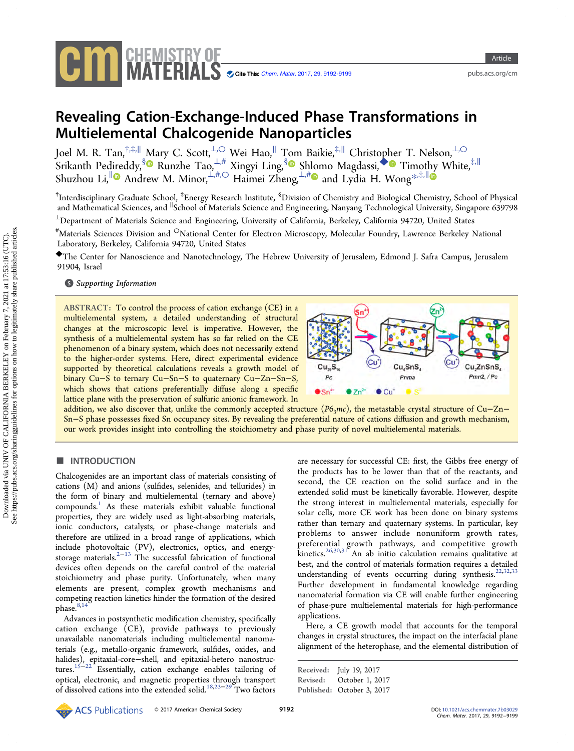

Article

<pubs.acs.org/cm>

# Revealing Cation-Exchange-Induced Phase Transformations in Multielemental Chalcogenide Nanoparticles

Joel M. R. Tan,†,‡,<sup>∥</sup> Mary C. Scott,⊥,○ Wei Hao,<sup>∥</sup> Tom Baikie,‡,<sup>∥</sup> Christop[he](#page-6-0)r T. Nelson,⊥,○  $\sim$ Srikanth Pedireddy, $\frac{\sin \theta}{\sin \theta}$  Runzhe Tao, $\frac{1,\#}{\cos \theta}$  Xingyi Ling, $\frac{\sin \theta}{\cos \theta}$  Magdassi, $\bullet$  Timothy White, $\frac{1}{r}$ Shuzhou Li,<sup>[∥](#page-6-0)</sup> Andrew M. Minor, ⊥,#,○ Haimei Zheng, ⊥,# and Lydia H. Wong<sup>[\\*](#page-6-0),‡,||</sup>

 $^\dagger$ Interdisciplinary Graduate School,  $^\ddagger$ Energy Research Institute,  $^8$ Division of Chemistry and Biological Chemistry, School of Physical and Mathematical Sciences, and <sup>∥</sup> School of Materials Science and Engineering, Nanyang Technological University, Singapore 639798

<sup>⊥</sup>Department of Materials Science and Engineering, University of California, Berkeley, California 94720, United States

 $^{\#}$ Materials Sciences Division and  $^{\circ}$ National Center for Electron Microscopy, Molecular Foundry, Lawrence Berkeley National Laboratory, Berkeley, California 94720, United States

◆The Center for Nanoscience and Nanotechnology, The Hebrew University of Jerusalem, Edmond J. Safra Campus, Jerusalem 91904, Israel

# **S** [Supporting Information](#page-6-0)

ABSTRACT: To control the process of cation exchange (CE) in a multielemental system, a detailed understanding of structural changes at the microscopic level is imperative. However, the synthesis of a multielemental system has so far relied on the CE phenomenon of a binary system, which does not necessarily extend to the higher-order systems. Here, direct experimental evidence supported by theoretical calculations reveals a growth model of binary Cu−S to ternary Cu−Sn−S to quaternary Cu−Zn−Sn−S, which shows that cations preferentially diffuse along a specific lattice plane with the preservation of sulfuric anionic framework. In



addition, we also discover that, unlike the commonly accepted structure ( $P6_3mc$ ), the metastable crystal structure of Cu–Zn– Sn−S phase possesses fixed Sn occupancy sites. By revealing the preferential nature of cations diffusion and growth mechanism, our work provides insight into controlling the stoichiometry and phase purity of novel multielemental materials.

## **ENTRODUCTION**

Chalcogenides are an important class of materials consisting of cations (M) and anions (sulfides, selenides, and tellurides) in the form of binary and multielemental (ternary and above) compounds.[1](#page-6-0) As these materials exhibit valuable functional properties, they are widely used as light-absorbing materials, ionic conductors, catalysts, or phase-change materials and therefore are utilized in a broad range of applications, which include photovoltaic (PV), electronics, optics, and energy-storage materials.<sup>[2](#page-6-0)-[13](#page-7-0)</sup> The successful fabrication of functional devices often depends on the careful control of the material stoichiometry and phase purity. Unfortunately, when many elements are present, complex growth mechanisms and competing reaction kinetics hinder the formation of the desired phase.<sup>[8](#page-7-0),[14](#page-7-0)</sup>

Advances in postsynthetic modification chemistry, specifically cation exchange (CE), provide pathways to previously unavailable nanomaterials including multielemental nanomaterials (e.g., metallo-organic framework, sulfides, oxides, and halides), epitaxial-core−shell, and epitaxial-hetero nanostructures.[15](#page-7-0)−[22](#page-7-0) Essentially, cation exchange enables tailoring of optical, electronic, and magnetic properties through transport of dissolved cations into the extended solid.[18](#page-7-0),[23](#page-7-0)−[29](#page-7-0) Two factors

are necessary for successful CE: first, the Gibbs free energy of the products has to be lower than that of the reactants, and second, the CE reaction on the solid surface and in the extended solid must be kinetically favorable. However, despite the strong interest in multielemental materials, especially for solar cells, more CE work has been done on binary systems rather than ternary and quaternary systems. In particular, key problems to answer include nonuniform growth rates, preferential growth pathways, and competitive growth  $k$ inetics.<sup>[26](#page-7-0),[30,31](#page-7-0)</sup> An ab initio calculation remains qualitative at best, and the control of materials formation requires a detailed understanding of events occurring during synthesis.<sup>[22](#page-7-0),[32,33](#page-7-0)</sup> Further development in fundamental knowledge regarding nanomaterial formation via CE will enable further engineering of phase-pure multielemental materials for high-performance applications.

Here, a CE growth model that accounts for the temporal changes in crystal structures, the impact on the interfacial plane alignment of the heterophase, and the elemental distribution of

Received: July 19, 2017 Revised: October 1, 2017 Published: October 3, 2017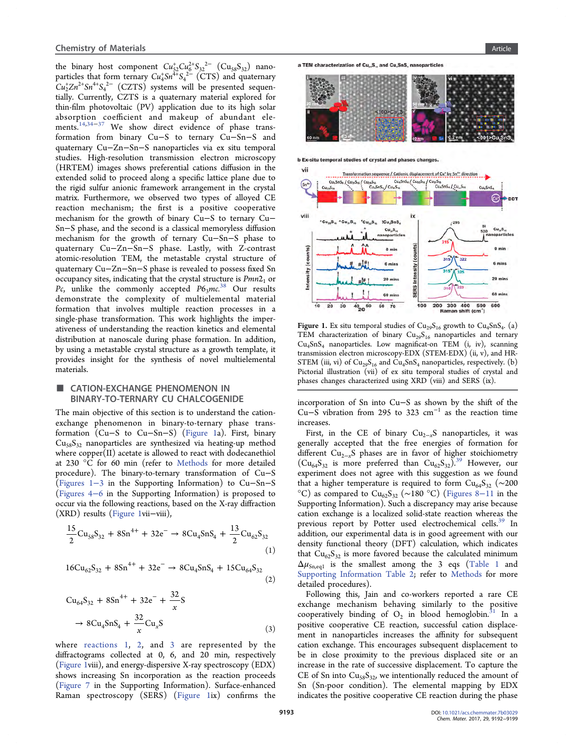the binary host component  $Cu_{52}^+Cu_6^{2+}S_{32}^{2-}$   $(Cu_{58}S_{32})$  nanoparticles that form ternary  $Cu_4^+Sn^{4+}S_4^{2-}$  (CTS) and quaternary  $Cu_2^{\dagger}Zn^{2+}Sn^{4+}S_4^{2-}$  (CZTS) systems will be presented sequentially. Currently, CZTS is a quaternary material explored for thin-film photovoltaic (PV) application due to its high solar absorption coefficient and makeup of abundant ele-ments.<sup>[14](#page-7-0),[34](#page-7-0)–[37](#page-7-0)</sup> We show direct evidence of phase transformation from binary Cu−S to ternary Cu−Sn−S and quaternary Cu−Zn−Sn−S nanoparticles via ex situ temporal studies. High-resolution transmission electron microscopy (HRTEM) images shows preferential cations diffusion in the extended solid to proceed along a specific lattice plane due to the rigid sulfur anionic framework arrangement in the crystal matrix. Furthermore, we observed two types of alloyed CE reaction mechanism; the first is a positive cooperative mechanism for the growth of binary Cu−S to ternary Cu− Sn−S phase, and the second is a classical memoryless diffusion mechanism for the growth of ternary Cu−Sn−S phase to quaternary Cu−Zn−Sn−S phase. Lastly, with Z-contrast atomic-resolution TEM, the metastable crystal structure of quaternary Cu−Zn−Sn−S phase is revealed to possess fixed Sn occupancy sites, indicating that the crystal structure is  $Pmn2<sub>1</sub>$  or Pc, unlike the commonly accepted  $P6_3mc^{38}$  $P6_3mc^{38}$  $P6_3mc^{38}$  Our results demonstrate the complexity of multielemental material formation that involves multiple reaction processes in a single-phase transformation. This work highlights the imperativeness of understanding the reaction kinetics and elemental distribution at nanoscale during phase formation. In addition, by using a metastable crystal structure as a growth template, it provides insight for the synthesis of novel multielemental materials.

## ■ CATION-EXCHANGE PHENOMENON IN BINARY-TO-TERNARY CU CHALCOGENIDE

The main objective of this section is to understand the cationexchange phenomenon in binary-to-ternary phase transformation (Cu−S to Cu−Sn−S) (Figure 1a). First, binary  $Cu<sub>58</sub>S<sub>32</sub>$  nanoparticles are synthesized via heating-up method where copper(II) acetate is allowed to react with dodecanethiol at 230 °C for 60 min (refer to [Methods](#page-5-0) for more detailed procedure). The binary-to-ternary transformation of Cu−S [\(Figures 1](http://pubs.acs.org/doi/suppl/10.1021/acs.chemmater.7b03029/suppl_file/cm7b03029_si_001.pdf)−3 in the Supporting Information) to Cu−Sn−S [\(Figures 4](http://pubs.acs.org/doi/suppl/10.1021/acs.chemmater.7b03029/suppl_file/cm7b03029_si_001.pdf)−6 in the Supporting Information) is proposed to occur via the following reactions, based on the X-ray diffraction (XRD) results (Figure 1vii−viii),

$$
\frac{15}{2}Cu_{58}S_{32} + 8Sn^{4+} + 32e^{-} \rightarrow 8Cu_{4}SnS_{4} + \frac{13}{2}Cu_{62}S_{32}
$$
\n(1)

$$
16Cu_{62}S_{32} + 8Sn^{4+} + 32e^{-} \rightarrow 8Cu_{4}SnS_{4} + 15Cu_{64}S_{32}
$$
\n(2)

$$
Cu_{64}S_{32} + 8Sn^{4+} + 32e^{-} + \frac{32}{x}S
$$
  
\n
$$
\rightarrow 8Cu_{4}SnS_{4} + \frac{32}{x}Cu_{x}S
$$
 (3)

where reactions 1, 2, and 3 are represented by the diffractograms collected at 0, 6, and 20 min, respectively (Figure 1viii), and energy-dispersive X-ray spectroscopy (EDX) shows increasing Sn incorporation as the reaction proceeds [\(Figure 7](http://pubs.acs.org/doi/suppl/10.1021/acs.chemmater.7b03029/suppl_file/cm7b03029_si_001.pdf) in the Supporting Information). Surface-enhanced Raman spectroscopy (SERS) (Figure 1ix) confirms the





**b Ex-situ temporal studies of crystal and phases changes** 



Figure 1. Ex situ temporal studies of  $Cu_{29}S_{16}$  growth to  $Cu_{4}SnS_{4}$ . (a) TEM characterization of binary  $Cu_{29}S_{16}$  nanoparticles and ternary  $Cu<sub>4</sub>SnS<sub>4</sub>$  nanoparticles. Low magnificat-on TEM (i, iv), scanning transmission electron microscopy-EDX (STEM-EDX) (ii, v), and HR-STEM (iii, vi) of  $Cu<sub>29</sub>S<sub>16</sub>$  and  $Cu<sub>4</sub>SnS<sub>4</sub>$  nanoparticles, respectively. (b) Pictorial illustration (vii) of ex situ temporal studies of crystal and phases changes characterized using XRD (viii) and SERS (ix).

incorporation of Sn into Cu−S as shown by the shift of the Cu–S vibration from 295 to 323  $cm^{-1}$  as the reaction time increases.

First, in the CE of binary  $Cu_{2-x}S$  nanoparticles, it was generally accepted that the free energies of formation for different Cu2<sup>−</sup>xS phases are in favor of higher stoichiometry  $(Cu_{64}S_{32}$  is more preferred than  $Cu_{62}S_{32})^{39}$  $Cu_{62}S_{32})^{39}$  $Cu_{62}S_{32})^{39}$  However, our experiment does not agree with this suggestion as we found that a higher temperature is required to form  $Cu_{64}S_{32}$  (~200 °C) as compared to  $Cu_{62}S_{32}$  (~180 °C) ([Figures 8](http://pubs.acs.org/doi/suppl/10.1021/acs.chemmater.7b03029/suppl_file/cm7b03029_si_001.pdf)–11 in the Supporting Information). Such a discrepancy may arise because cation exchange is a localized solid-state reaction whereas the previous report by Potter used electrochemical cells.<sup>[39](#page-7-0)</sup> In addition, our experimental data is in good agreement with our density functional theory (DFT) calculation, which indicates that  $Cu_{62}S_{32}$  is more favored because the calculated minimum  $\Delta \mu_{\text{Sn,eq1}}$  is the smallest among the 3 eqs ([Table 1](#page-2-0) and [Supporting Information Table 2](http://pubs.acs.org/doi/suppl/10.1021/acs.chemmater.7b03029/suppl_file/cm7b03029_si_001.pdf); refer to [Methods](#page-5-0) for more detailed procedures).

Following this, Jain and co-workers reported a rare CE exchange mechanism behaving similarly to the positive cooperatively binding of  $O_2$  in blood hemoglobin.<sup>[31](#page-7-0)</sup> In a positive cooperative CE reaction, successful cation displacement in nanoparticles increases the affinity for subsequent cation exchange. This encourages subsequent displacement to be in close proximity to the previous displaced site or an increase in the rate of successive displacement. To capture the CE of Sn into  $Cu<sub>58</sub>S<sub>32</sub>$ , we intentionally reduced the amount of Sn (Sn-poor condition). The elemental mapping by EDX indicates the positive cooperative CE reaction during the phase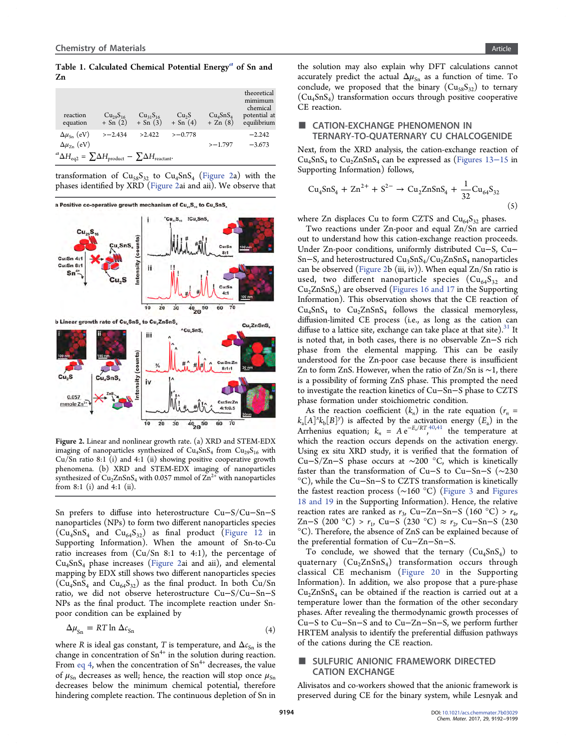## <span id="page-2-0"></span>Table 1. Calculated Chemical Potential Energy<sup>a</sup> of Sn and Zn

|                                                                                                 | reaction<br>equation      | $Cu_{29}S_{16}$<br>$+$ Sn $(2)$ | $Cu_{31}S_{16}$<br>$+$ Sn $(3)$ | Cu <sub>2</sub> S<br>$+$ Sn $(4)$ | Cu <sub>4</sub> SnS <sub>4</sub><br>$+ Zn(8)$ | theoretical<br>mimimum<br>chemical<br>potential at<br>equilibrium |
|-------------------------------------------------------------------------------------------------|---------------------------|---------------------------------|---------------------------------|-----------------------------------|-----------------------------------------------|-------------------------------------------------------------------|
|                                                                                                 | $\Delta\mu_{\rm Sn}$ (eV) | $>-2.434$                       | >2.422                          | $>-0.778$                         |                                               | $-2.242$                                                          |
|                                                                                                 | $\Delta\mu_{Z_{n}}$ (eV)  |                                 |                                 |                                   | $>-1.797$                                     | $-3.673$                                                          |
| ${}^a\Delta H_{\text{eq2}} = \sum \Delta H_{\text{product}} - \sum \Delta H_{\text{reactant}}.$ |                           |                                 |                                 |                                   |                                               |                                                                   |

transformation of  $Cu_{58}S_{32}$  to  $Cu_{4}SnS_{4}$  (Figure 2a) with the phases identified by XRD (Figure 2ai and aii). We observe that



Figure 2. Linear and nonlinear growth rate. (a) XRD and STEM-EDX imaging of nanoparticles synthesized of  $Cu<sub>4</sub>SnS<sub>4</sub>$  from  $Cu<sub>29</sub>S<sub>16</sub>$  with Cu/Sn ratio 8:1 (i) and 4:1 (ii) showing positive cooperative growth phenomena. (b) XRD and STEM-EDX imaging of nanoparticles synthesized of  $Cu<sub>2</sub>ZnSnS<sub>4</sub>$  with 0.057 mmol of  $Zn<sup>2+</sup>$  with nanoparticles from 8:1 (i) and 4:1 (ii).

Sn prefers to diffuse into heterostructure Cu−S/Cu−Sn−S nanoparticles (NPs) to form two different nanoparticles species  $(Cu_4SnS_4$  and  $Cu_{64}S_3)$  as final product ([Figure 12](http://pubs.acs.org/doi/suppl/10.1021/acs.chemmater.7b03029/suppl_file/cm7b03029_si_001.pdf) in Supporting Information). When the amount of Sn-to-Cu ratio increases from  $(Cu/Sn 8:1$  to 4:1), the percentage of  $Cu<sub>4</sub>SnS<sub>4</sub>$  phase increases (Figure 2ai and aii), and elemental mapping by EDX still shows two different nanoparticles species  $(Cu_4SnS_4$  and  $Cu_{64}S_{32})$  as the final product. In both  $Cu/Sn$ ratio, we did not observe heterostructure Cu−S/Cu−Sn−S NPs as the final product. The incomplete reaction under Snpoor condition can be explained by

$$
\Delta \mu_{\rm Sn} = RT \ln \Delta c_{\rm Sn} \tag{4}
$$

where R is ideal gas constant, T is temperature, and  $\Delta c_{\text{Sn}}$  is the change in concentration of  $Sn^{4+}$  in the solution during reaction. From eq 4, when the concentration of  $Sn^{4+}$  decreases, the value of  $\mu_{\rm Sn}$  decreases as well; hence, the reaction will stop once  $\mu_{\rm Sn}$ decreases below the minimum chemical potential, therefore hindering complete reaction. The continuous depletion of Sn in

the solution may also explain why DFT calculations cannot accurately predict the actual  $\Delta \mu_{S_n}$  as a function of time. To conclude, we proposed that the binary  $(Cu_{58}S_{32})$  to ternary  $(Cu_4SnS_4)$  transformation occurs through positive cooperative CE reaction.

# ■ CATION-EXCHANGE PHENOMENON IN TERNARY-TO-QUATERNARY CU CHALCOGENIDE

Next, from the XRD analysis, the cation-exchange reaction of  $Cu<sub>4</sub>SnS<sub>4</sub>$  to  $Cu<sub>2</sub>ZnSnS<sub>4</sub>$  can be expressed as [\(Figures 13](http://pubs.acs.org/doi/suppl/10.1021/acs.chemmater.7b03029/suppl_file/cm7b03029_si_001.pdf)–15 in Supporting Information) follows,

$$
Cu4SnS4 + Zn2+ + S2- \to Cu2ZnSnS4 + \frac{1}{32}Cu64S32
$$
\n(5)

where Zn displaces Cu to form CZTS and  $Cu<sub>64</sub>S<sub>32</sub>$  phases.

Two reactions under Zn-poor and equal Zn/Sn are carried out to understand how this cation-exchange reaction proceeds. Under Zn-poor conditions, uniformly distributed Cu−S, Cu− Sn–S, and heterostructured  $Cu<sub>3</sub>SnS<sub>4</sub>/Cu<sub>2</sub>ZnSnS<sub>4</sub>$  nanoparticles can be observed (Figure 2b (iii, iv)). When equal  $Zn/Sn$  ratio is used, two different nanoparticle species  $(Cu_{64}S_{32}$  and  $Cu<sub>2</sub>ZnSnS<sub>4</sub>$ ) are observed [\(Figures 16 and 17](http://pubs.acs.org/doi/suppl/10.1021/acs.chemmater.7b03029/suppl_file/cm7b03029_si_001.pdf) in the Supporting Information). This observation shows that the CE reaction of  $Cu<sub>4</sub>SnS<sub>4</sub>$  to  $Cu<sub>2</sub>ZnSnS<sub>4</sub>$  follows the classical memoryless, diffusion-limited CE process (i.e., as long as the cation can diffuse to a lattice site, exchange can take place at that site).<sup>[31](#page-7-0)</sup> It is noted that, in both cases, there is no observable Zn−S rich phase from the elemental mapping. This can be easily understood for the Zn-poor case because there is insufficient Zn to form ZnS. However, when the ratio of Zn/Sn is ∼1, there is a possibility of forming ZnS phase. This prompted the need to investigate the reaction kinetics of Cu−Sn−S phase to CZTS phase formation under stoichiometric condition.

As the reaction coefficient  $(k_n)$  in the rate equation  $(r_n =$  $k_a[A]^x k_b[B]^y$ ) is affected by the activation energy  $(E_a)$  in the Arrhenius equation;  $k_n = A e^{-E_a/RT}$ , the temperature at which the reaction occurs depends on the activation energy. Using ex situ XRD study, it is verified that the formation of Cu−S/Zn−S phase occurs at ∼200 °C, which is kinetically faster than the transformation of Cu−S to Cu−Sn−S (∼230 °C), while the Cu−Sn−S to CZTS transformation is kinetically the fastest reaction process (∼160 °C) [\(Figure 3](#page-3-0) and [Figures](http://pubs.acs.org/doi/suppl/10.1021/acs.chemmater.7b03029/suppl_file/cm7b03029_si_001.pdf) [18 and 19](http://pubs.acs.org/doi/suppl/10.1021/acs.chemmater.7b03029/suppl_file/cm7b03029_si_001.pdf) in the Supporting Information). Hence, the relative reaction rates are ranked as  $r_3$ , Cu–Zn–Sn–S (160 °C) >  $r_4$ , Zn−S (200 °C) >  $r_1$ , Cu−S (230 °C) ≈  $r_2$ , Cu−Sn−S (230 °C). Therefore, the absence of ZnS can be explained because of the preferential formation of Cu−Zn−Sn−S.

To conclude, we showed that the ternary  $(Cu_4 SnS_4)$  to quaternary  $(Cu_2ZnSnS<sub>4</sub>)$  transformation occurs through classical CE mechanism ([Figure 20](http://pubs.acs.org/doi/suppl/10.1021/acs.chemmater.7b03029/suppl_file/cm7b03029_si_001.pdf) in the Supporting Information). In addition, we also propose that a pure-phase  $Cu<sub>2</sub>ZnSnS<sub>4</sub>$  can be obtained if the reaction is carried out at a temperature lower than the formation of the other secondary phases. After revealing the thermodynamic growth processes of Cu−S to Cu−Sn−S and to Cu−Zn−Sn−S, we perform further HRTEM analysis to identify the preferential diffusion pathways of the cations during the CE reaction.

# SULFURIC ANIONIC FRAMEWORK DIRECTED CATION EXCHANGE

Alivisatos and co-workers showed that the anionic framework is preserved during CE for the binary system, while Lesnyak and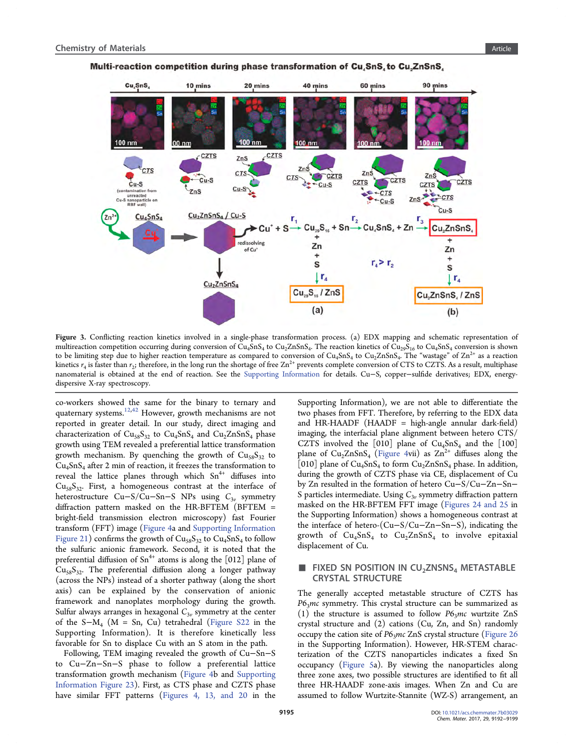

<span id="page-3-0"></span>Multi-reaction competition during phase transformation of Cu, SnS, to Cu, ZnSnS,

Figure 3. Conflicting reaction kinetics involved in a single-phase transformation process. (a) EDX mapping and schematic representation of multireaction competition occurring during conversion of  $\tilde{C}u_4\tilde{S}nS_4$  to  $Cu_2ZnSnS_4$ . The reaction kinetics of  $\tilde{Cu}_{29}\tilde{S}_{16}$  to  $Cu_4SnS_4$  conversion is shown to be limiting step due to higher reaction temperature as compared to conversion of  $Cu<sub>4</sub>SnS<sub>4</sub>$  to  $Cu<sub>2</sub>ZnSnS<sub>4</sub>$ . The "wastage" of  $Zn<sup>2+</sup>$  as a reaction kinetics  $r_4$  is faster than  $r_2$ ; therefore, in the long run the shortage of free  $Zn^{2+}$  prevents complete conversion of CTS to CZTS. As a result, multiphase nanomaterial is obtained at the end of reaction. See the [Supporting Information](http://pubs.acs.org/doi/suppl/10.1021/acs.chemmater.7b03029/suppl_file/cm7b03029_si_001.pdf) for details. Cu−S, copper−sulfide derivatives; EDX, energydispersive X-ray spectroscopy.

co-workers showed the same for the binary to ternary and quaternary systems.<sup>[12](#page-7-0),[42](#page-7-0)</sup> However, growth mechanisms are not reported in greater detail. In our study, direct imaging and characterization of  $Cu_{58}S_{32}$  to  $Cu_{4}SnS_{4}$  and  $Cu_{2}ZnSnS_{4}$  phase growth using TEM revealed a preferential lattice transformation growth mechanism. By quenching the growth of  $Cu<sub>58</sub>S<sub>32</sub>$  to  $Cu<sub>4</sub>SnS<sub>4</sub>$  after 2 min of reaction, it freezes the transformation to reveal the lattice planes through which  $Sn^{4+}$  diffuses into  $Cu<sub>58</sub>S<sub>32</sub>$ . First, a homogeneous contrast at the interface of heterostructure Cu−S/Cu−Sn−S NPs using  $C_{3v}$  symmetry diffraction pattern masked on the HR-BFTEM (BFTEM = bright-field transmission electron microscopy) fast Fourier transform (FFT) image [\(Figure 4](#page-4-0)a and [Supporting Information](http://pubs.acs.org/doi/suppl/10.1021/acs.chemmater.7b03029/suppl_file/cm7b03029_si_001.pdf) [Figure 21](http://pubs.acs.org/doi/suppl/10.1021/acs.chemmater.7b03029/suppl_file/cm7b03029_si_001.pdf)) confirms the growth of  $Cu<sub>58</sub>S<sub>32</sub>$  to  $Cu<sub>4</sub>SnS<sub>4</sub>$  to follow the sulfuric anionic framework. Second, it is noted that the preferential diffusion of  $Sn^{4+}$  atoms is along the [012] plane of  $Cu<sub>58</sub>S<sub>32</sub>$ . The preferential diffusion along a longer pathway (across the NPs) instead of a shorter pathway (along the short axis) can be explained by the conservation of anionic framework and nanoplates morphology during the growth. Sulfur always arranges in hexagonal  $C_{3\nu}$  symmetry at the center of the  $S-M_4$  (M = Sn, Cu) tetrahedral [\(Figure S22](http://pubs.acs.org/doi/suppl/10.1021/acs.chemmater.7b03029/suppl_file/cm7b03029_si_001.pdf) in the Supporting Information). It is therefore kinetically less favorable for Sn to displace Cu with an S atom in the path.

Following, TEM imaging revealed the growth of Cu−Sn−S to Cu−Zn−Sn−S phase to follow a preferential lattice transformation growth mechanism [\(Figure 4b](#page-4-0) and [Supporting](http://pubs.acs.org/doi/suppl/10.1021/acs.chemmater.7b03029/suppl_file/cm7b03029_si_001.pdf) [Information Figure 23](http://pubs.acs.org/doi/suppl/10.1021/acs.chemmater.7b03029/suppl_file/cm7b03029_si_001.pdf)). First, as CTS phase and CZTS phase have similar FFT patterns [\(Figures 4, 13, and 20](http://pubs.acs.org/doi/suppl/10.1021/acs.chemmater.7b03029/suppl_file/cm7b03029_si_001.pdf) in the

Supporting Information), we are not able to differentiate the two phases from FFT. Therefore, by referring to the EDX data and HR-HAADF (HAADF = high-angle annular dark-field) imaging, the interfacial plane alignment between hetero CTS/ CZTS involved the  $[010]$  plane of Cu<sub>4</sub>SnS<sub>4</sub> and the  $[100]$ plane of  $Cu<sub>2</sub>ZnSnS<sub>4</sub>$  [\(Figure 4](#page-4-0)vii) as  $Zn<sup>2+</sup>$  diffuses along the [010] plane of  $Cu<sub>4</sub>SnS<sub>4</sub>$  to form  $Cu<sub>2</sub>ZnSnS<sub>4</sub>$  phase. In addition, during the growth of CZTS phase via CE, displacement of Cu by Zn resulted in the formation of hetero Cu−S/Cu−Zn−Sn− S particles intermediate. Using  $C_{3v}$  symmetry diffraction pattern masked on the HR-BFTEM FFT image [\(Figures 24 and 25](http://pubs.acs.org/doi/suppl/10.1021/acs.chemmater.7b03029/suppl_file/cm7b03029_si_001.pdf) in the Supporting Information) shows a homogeneous contrast at the interface of hetero-(Cu−S/Cu−Zn−Sn−S), indicating the growth of  $Cu<sub>4</sub>SnS<sub>4</sub>$  to  $Cu<sub>2</sub>ZnSnS<sub>4</sub>$  to involve epitaxial displacement of Cu.

# FIXED SN POSITION IN  $CU_2ZNSNS_4$  METASTABLE CRYSTAL STRUCTURE

The generally accepted metastable structure of CZTS has  $P6<sub>3</sub>mc$  symmetry. This crystal structure can be summarized as (1) the structure is assumed to follow  $P6_3mc$  wurtzite ZnS crystal structure and (2) cations (Cu, Zn, and Sn) randomly occupy the cation site of  $P6<sub>3</sub>mc ZnS$  crystal structure ([Figure 26](http://pubs.acs.org/doi/suppl/10.1021/acs.chemmater.7b03029/suppl_file/cm7b03029_si_001.pdf) in the Supporting Information). However, HR-STEM characterization of the CZTS nanoparticles indicates a fixed Sn occupancy [\(Figure 5](#page-5-0)a). By viewing the nanoparticles along three zone axes, two possible structures are identified to fit all three HR-HAADF zone-axis images. When Zn and Cu are assumed to follow Wurtzite-Stannite (WZ-S) arrangement, an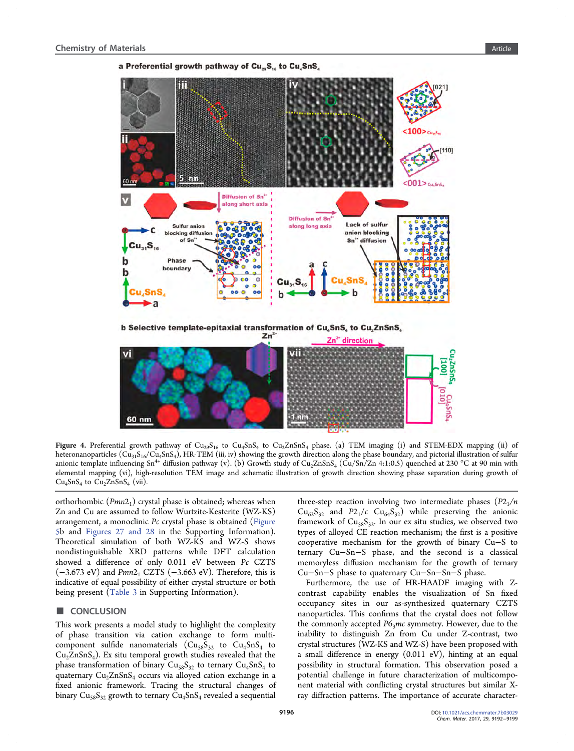

<span id="page-4-0"></span>a Preferential growth pathway of Cu<sub>29</sub>S<sub>16</sub> to Cu<sub>4</sub>SnS<sub>4</sub>

Figure 4. Preferential growth pathway of  $Cu<sub>29</sub>S<sub>16</sub>$  to  $Cu<sub>4</sub>SnS<sub>4</sub>$  to  $Cu<sub>2</sub>ZnSnS<sub>4</sub>$  phase. (a) TEM imaging (i) and STEM-EDX mapping (ii) of heteronanoparticles ( $Cu_{31}S_{16}/Cu_{4}SnS_{4}$ ), HR-TEM (iii, iv) showing the growth direction along the phase boundary, and pictorial illustration of sulfur anionic template influencing Sn<sup>4+</sup> diffusion pathway (v). (b) Growth study of Cu<sub>2</sub>ZnSnS<sub>4</sub> (Cu/Sn/Zn 4:1:0.5) quenched at 230 °C at 90 min with elemental mapping (vi), high-resolution TEM image and schematic illustration of growth direction showing phase separation during growth of  $Cu<sub>4</sub>SnS<sub>4</sub>$  to  $Cu<sub>2</sub>ZnSnS<sub>4</sub>$  (vii).

orthorhombic  $(Pmn2<sub>1</sub>)$  crystal phase is obtained; whereas when Zn and Cu are assumed to follow Wurtzite-Kesterite (WZ-KS) arrangement, a monoclinic Pc crystal phase is obtained [\(Figure](#page-5-0) [5](#page-5-0)b and [Figures 27 and 28](http://pubs.acs.org/doi/suppl/10.1021/acs.chemmater.7b03029/suppl_file/cm7b03029_si_001.pdf) in the Supporting Information). Theoretical simulation of both WZ-KS and WZ-S shows nondistinguishable XRD patterns while DFT calculation showed a difference of only 0.011 eV between Pc CZTS  $(-3.673 \text{ eV})$  and Pmn2<sub>1</sub> CZTS  $(-3.663 \text{ eV})$ . Therefore, this is indicative of equal possibility of either crystal structure or both being present ([Table 3](http://pubs.acs.org/doi/suppl/10.1021/acs.chemmater.7b03029/suppl_file/cm7b03029_si_001.pdf) in Supporting Information).

#### ■ CONCLUSION

This work presents a model study to highlight the complexity of phase transition via cation exchange to form multicomponent sulfide nanomaterials  $(Cu_{58}S_{32}$  to  $Cu_4SnS_4$  to  $Cu<sub>2</sub>ZnSnS<sub>4</sub>$ ). Ex situ temporal growth studies revealed that the phase transformation of binary  $Cu<sub>58</sub>S<sub>32</sub>$  to ternary  $Cu<sub>4</sub>SnS<sub>4</sub>$  to quaternary  $Cu<sub>2</sub>ZnSnS<sub>4</sub>$  occurs via alloyed cation exchange in a fixed anionic framework. Tracing the structural changes of binary  $Cu_{58}S_{32}$  growth to ternary  $Cu_{4}SnS_{4}$  revealed a sequential

three-step reaction involving two intermediate phases  $(P2<sub>1</sub>/n)$  $Cu_{62}S_{32}$  and  $P2_1/c$   $Cu_{64}S_{32}$ ) while preserving the anionic framework of  $Cu_{58}S_{32}$ . In our ex situ studies, we observed two types of alloyed CE reaction mechanism; the first is a positive cooperative mechanism for the growth of binary Cu−S to ternary Cu−Sn−S phase, and the second is a classical memoryless diffusion mechanism for the growth of ternary Cu−Sn−S phase to quaternary Cu−Sn−Sn−S phase.

Furthermore, the use of HR-HAADF imaging with Zcontrast capability enables the visualization of Sn fixed occupancy sites in our as-synthesized quaternary CZTS nanoparticles. This confirms that the crystal does not follow the commonly accepted  $P6<sub>3</sub>mc$  symmetry. However, due to the inability to distinguish Zn from Cu under Z-contrast, two crystal structures (WZ-KS and WZ-S) have been proposed with a small difference in energy (0.011 eV), hinting at an equal possibility in structural formation. This observation posed a potential challenge in future characterization of multicomponent material with conflicting crystal structures but similar Xray diffraction patterns. The importance of accurate character-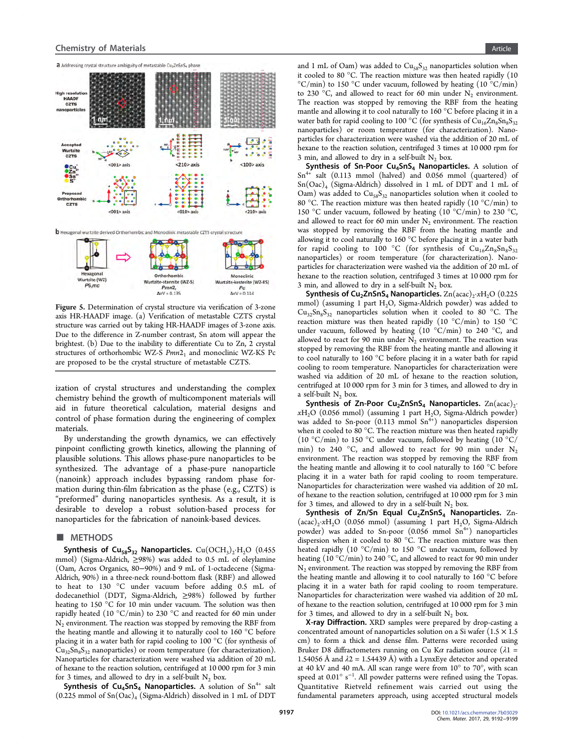<span id="page-5-0"></span>

Figure 5. Determination of crystal structure via verification of 3-zone axis HR-HAADF image. (a) Verification of metastable CZTS crystal structure was carried out by taking HR-HAADF images of 3-zone axis. Due to the difference in Z-number contrast, Sn atom will appear the brightest. (b) Due to the inability to differentiate Cu to Zn, 2 crystal structures of orthorhombic WZ-S Pmn2<sub>1</sub> and monoclinic WZ-KS Pc are proposed to be the crystal structure of metastable CZTS.

 $Pmn2$ 

 $\Delta$ eV = 0.135

 $Pc$ <br> $\Delta$ eV = 0.114

ization of crystal structures and understanding the complex chemistry behind the growth of multicomponent materials will aid in future theoretical calculation, material designs and control of phase formation during the engineering of complex materials.

By understanding the growth dynamics, we can effectively pinpoint conflicting growth kinetics, allowing the planning of plausible solutions. This allows phase-pure nanoparticles to be synthesized. The advantage of a phase-pure nanoparticle (nanoink) approach includes bypassing random phase formation during thin-film fabrication as the phase (e.g., CZTS) is "preformed" during nanoparticles synthesis. As a result, it is desirable to develop a robust solution-based process for nanoparticles for the fabrication of nanoink-based devices.

#### ■ METHODS

Synthesis of Cu<sub>58</sub>S<sub>32</sub> Nanoparticles. Cu(OCH<sub>3</sub>)<sub>2</sub>·H<sub>2</sub>O (0.455 mmol) (Sigma-Aldrich, ≥98%) was added to 0.5 mL of oleylamine (Oam, Acros Organics, 80−90%) and 9 mL of 1-octadecene (Sigma-Aldrich, 90%) in a three-neck round-bottom flask (RBF) and allowed to heat to 130 °C under vacuum before adding 0.5 mL of dodecanethiol (DDT, Sigma-Aldrich, ≥98%) followed by further heating to 150 °C for 10 min under vacuum. The solution was then rapidly heated (10 °C/min) to 230 °C and reacted for 60 min under  $N<sub>2</sub>$  environment. The reaction was stopped by removing the RBF from the heating mantle and allowing it to naturally cool to 160 °C before placing it in a water bath for rapid cooling to 100 °C (for synthesis of  $Cu_{32}Sn_8S_{32}$  nanoparticles) or room temperature (for characterization). Nanoparticles for characterization were washed via addition of 20 mL of hexane to the reaction solution, centrifuged at 10 000 rpm for 3 min for 3 times, and allowed to dry in a self-built  $N_2$  box.

Synthesis of Cu<sub>4</sub>SnS<sub>4</sub> Nanoparticles. A solution of Sn<sup>4+</sup> salt  $(0.225 \text{ mmol of Sn}(Oac)_4 \text{ (Sigma-Aldrich) dissolved in 1 mL of DDT }$ 

and 1 mL of Oam) was added to  $Cu<sub>58</sub>S<sub>32</sub>$  nanoparticles solution when it cooled to 80 °C. The reaction mixture was then heated rapidly (10  $\rm{^{\circ}C/min)}$  to 150  $\rm{^{\circ}C}$  under vacuum, followed by heating (10  $\rm{^{\circ}C/min)}$ ) to 230 °C, and allowed to react for 60 min under  $N_2$  environment. The reaction was stopped by removing the RBF from the heating mantle and allowing it to cool naturally to 160 °C before placing it in a water bath for rapid cooling to 100 °C (for synthesis of  $\rm Cu_{16}Zn_{8}Sn_{8}S_{32}$ nanoparticles) or room temperature (for characterization). Nanoparticles for characterization were washed via the addition of 20 mL of hexane to the reaction solution, centrifuged 3 times at 10 000 rpm for 3 min, and allowed to dry in a self-built  $N_2$  box.

Synthesis of Sn-Poor  $Cu<sub>4</sub>SnS<sub>4</sub>$  Nanoparticles. A solution of  $Sn^{4+}$  salt (0.113 mmol (halved) and 0.056 mmol (quartered) of Sn(Oac)4 (Sigma-Aldrich) dissolved in 1 mL of DDT and 1 mL of Oam) was added to  $Cu<sub>58</sub>S<sub>32</sub>$  nanoparticles solution when it cooled to 80 °C. The reaction mixture was then heated rapidly  $(10 \text{ °C/min})$  to 150 °C under vacuum, followed by heating (10 °C/min) to 230 °C, and allowed to react for 60 min under  $N_2$  environment. The reaction was stopped by removing the RBF from the heating mantle and allowing it to cool naturally to 160 °C before placing it in a water bath for rapid cooling to 100 °C (for synthesis of  $Cu_{16}Zn_8Sn_8S_{32}$ nanoparticles) or room temperature (for characterization). Nanoparticles for characterization were washed via the addition of 20 mL of hexane to the reaction solution, centrifuged 3 times at 10 000 rpm for 3 min, and allowed to dry in a self-built  $N_2$  box.

Synthesis of Cu<sub>2</sub>ZnSnS<sub>4</sub> Nanoparticles.  $\text{Zn}(\text{acac})_2 \cdot x \text{H}_2\text{O}$  (0.225) mmol) (assuming 1 part  $H<sub>2</sub>O$ , Sigma-Aldrich powder) was added to  $Cu_{32}Sn_8S_{32}$  nanoparticles solution when it cooled to 80 °C. The reaction mixture was then heated rapidly (10 °C/min) to 150 °C under vacuum, followed by heating  $(10 \degree C/min)$  to 240 °C, and allowed to react for 90 min under  $N_2$  environment. The reaction was stopped by removing the RBF from the heating mantle and allowing it to cool naturally to 160 °C before placing it in a water bath for rapid cooling to room temperature. Nanoparticles for characterization were washed via addition of 20 mL of hexane to the reaction solution, centrifuged at 10 000 rpm for 3 min for 3 times, and allowed to dry in a self-built  $N_2$  box.

Synthesis of Zn-Poor Cu<sub>2</sub>ZnSnS<sub>4</sub> Nanoparticles.  $\text{Zn}(\text{acc})_2$ .  $xH<sub>2</sub>O$  (0.056 mmol) (assuming 1 part H<sub>2</sub>O, Sigma-Aldrich powder) was added to Sn-poor  $(0.113 \text{ mmol } \text{Sn}^{4+})$  nanoparticles dispersion when it cooled to 80 °C. The reaction mixture was then heated rapidly (10 °C/min) to 150 °C under vacuum, followed by heating (10 °C/ min) to 240 °C, and allowed to react for 90 min under  $N_2$ environment. The reaction was stopped by removing the RBF from the heating mantle and allowing it to cool naturally to 160 °C before placing it in a water bath for rapid cooling to room temperature. Nanoparticles for characterization were washed via addition of 20 mL of hexane to the reaction solution, centrifuged at 10 000 rpm for 3 min for 3 times, and allowed to dry in a self-built  $N_2$  box.

Synthesis of Zn/Sn Equal Cu<sub>2</sub>ZnSnS<sub>4</sub> Nanoparticles. Zn- $(\text{acac})_2 \cdot xH_2O$  (0.056 mmol) (assuming 1 part H<sub>2</sub>O, Sigma-Aldrich powder) was added to Sn-poor  $(0.056 \text{ mmol } \text{Sn}^{4+})$  nanoparticles dispersion when it cooled to 80 °C. The reaction mixture was then heated rapidly (10 °C/min) to 150 °C under vacuum, followed by heating (10  $^{\circ}\textrm{C/min}$ ) to 240  $^{\circ}\textrm{C,}$  and allowed to react for 90 min under  $N<sub>2</sub>$  environment. The reaction was stopped by removing the RBF from the heating mantle and allowing it to cool naturally to 160 °C before placing it in a water bath for rapid cooling to room temperature. Nanoparticles for characterization were washed via addition of 20 mL of hexane to the reaction solution, centrifuged at 10 000 rpm for 3 min for 3 times, and allowed to dry in a self-built  $N_2$  box.

X-ray Diffraction. XRD samples were prepared by drop-casting a concentrated amount of nanoparticles solution on a Si wafer  $(1.5 \times 1.5)$ cm) to form a thick and dense film. Patterns were recorded using Bruker D8 diffractometers running on Cu K $\alpha$  radiation source ( $\lambda$ 1 = 1.54056 Å and  $\lambda$ 2 = 1.54439 Å) with a LynxEye detector and operated at 40 kV and 40 mA. All scan range were from 10° to 70°, with scan speed at 0.01° s<sup>-1</sup>. All powder patterns were refined using the Topas. Quantitative Rietveld refinement wais carried out using the fundamental parameters approach, using accepted structural models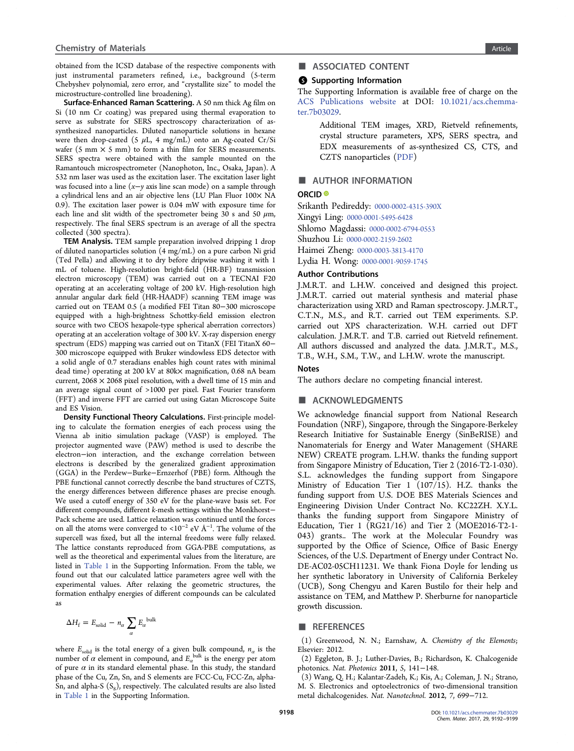<span id="page-6-0"></span>obtained from the ICSD database of the respective components with just instrumental parameters refined, i.e., background (5-term Chebyshev polynomial, zero error, and "crystallite size" to model the microstructure-controlled line broadening).

Surface-Enhanced Raman Scattering. A 50 nm thick Ag film on Si (10 nm Cr coating) was prepared using thermal evaporation to serve as substrate for SERS spectroscopy characterization of assynthesized nanoparticles. Diluted nanoparticle solutions in hexane were then drop-casted (5  $\mu$ L, 4 mg/mL) onto an Ag-coated Cr/Si wafer (5 mm  $\times$  5 mm) to form a thin film for SERS measurements. SERS spectra were obtained with the sample mounted on the Ramantouch microspectrometer (Nanophoton, Inc., Osaka, Japan). A 532 nm laser was used as the excitation laser. The excitation laser light was focused into a line (x−y axis line scan mode) on a sample through a cylindrical lens and an air objective lens (LU Plan Fluor 100× NA 0.9). The excitation laser power is 0.04 mW with exposure time for each line and slit width of the spectrometer being 30 s and 50  $\mu$ m, respectively. The final SERS spectrum is an average of all the spectra collected (300 spectra).

TEM Analysis. TEM sample preparation involved dripping 1 drop of diluted nanoparticles solution (4 mg/mL) on a pure carbon Ni grid (Ted Pella) and allowing it to dry before dripwise washing it with 1 mL of toluene. High-resolution bright-field (HR-BF) transmission electron microscopy (TEM) was carried out on a TECNAI F20 operating at an accelerating voltage of 200 kV. High-resolution high annular angular dark field (HR-HAADF) scanning TEM image was carried out on TEAM 0.5 (a modified FEI Titan 80−300 microscope equipped with a high-brightness Schottky-field emission electron source with two CEOS hexapole-type spherical aberration correctors) operating at an acceleration voltage of 300 kV. X-ray dispersion energy spectrum (EDS) mapping was carried out on TitanX (FEI TitanX 60− 300 microscope equipped with Bruker windowless EDS detector with a solid angle of 0.7 steradians enables high count rates with minimal dead time) operating at 200 kV at 80k× magnification, 0.68 nA beam current,  $2068 \times 2068$  pixel resolution, with a dwell time of 15 min and an average signal count of >1000 per pixel. Fast Fourier transform (FFT) and inverse FFT are carried out using Gatan Microscope Suite and ES Vision.

Density Functional Theory Calculations. First-principle modeling to calculate the formation energies of each process using the Vienna ab initio simulation package (VASP) is employed. The projector augmented wave (PAW) method is used to describe the electron−ion interaction, and the exchange correlation between electrons is described by the generalized gradient approximation (GGA) in the Perdew−Burke−Ernzerhof (PBE) form. Although the PBE functional cannot correctly describe the band structures of CZTS, the energy differences between difference phases are precise enough. We used a cutoff energy of 350 eV for the plane-wave basis set. For different compounds, different k-mesh settings within the Monkhorst− Pack scheme are used. Lattice relaxation was continued until the forces on all the atoms were converged to <10<sup>−2</sup> eV Å<sup>−1</sup>. The volume of the supercell was fixed, but all the internal freedoms were fully relaxed. The lattice constants reproduced from GGA-PBE computations, as well as the theoretical and experimental values from the literature, are listed in [Table 1](http://pubs.acs.org/doi/suppl/10.1021/acs.chemmater.7b03029/suppl_file/cm7b03029_si_001.pdf) in the Supporting Information. From the table, we found out that our calculated lattice parameters agree well with the experimental values. After relaxing the geometric structures, the formation enthalpy energies of different compounds can be calculated as

$$
\Delta H_{\rm f} = E_{\rm solid} - n_{\alpha} \sum_{\alpha} E_{\alpha}^{\rm bulk}
$$

where  $E_{solid}$  is the total energy of a given bulk compound,  $n_a$  is the number of  $\alpha$  element in compound, and  $E_{\alpha}^{bulk}$  is the energy per atom of pure  $\alpha$  in its standard elemental phase. In this study, the standard phase of the Cu, Zn, Sn, and S elements are FCC-Cu, FCC-Zn, alpha-Sn, and alpha-S  $(S_8)$ , respectively. The calculated results are also listed in [Table 1](http://pubs.acs.org/doi/suppl/10.1021/acs.chemmater.7b03029/suppl_file/cm7b03029_si_001.pdf) in the Supporting Information.

# ■ ASSOCIATED CONTENT

#### **S** Supporting Information

The Supporting Information is available free of charge on the [ACS Publications website](http://pubs.acs.org) at DOI: [10.1021/acs.chemma](http://pubs.acs.org/doi/abs/10.1021/acs.chemmater.7b03029)[ter.7b03029.](http://pubs.acs.org/doi/abs/10.1021/acs.chemmater.7b03029)

> Additional TEM images, XRD, Rietveld refinements, crystal structure parameters, XPS, SERS spectra, and EDX measurements of as-synthesized CS, CTS, and CZTS nanoparticles ([PDF\)](http://pubs.acs.org/doi/suppl/10.1021/acs.chemmater.7b03029/suppl_file/cm7b03029_si_001.pdf)

# ■ AUTHOR INFORMATION

#### ORCID<sup>®</sup>

Srikanth Pedireddy: [0000-0002-4315-390X](http://orcid.org/0000-0002-4315-390X) Xingyi Ling: [0000-0001-5495-6428](http://orcid.org/0000-0001-5495-6428) Shlomo Magdassi: [0000-0002-6794-0553](http://orcid.org/0000-0002-6794-0553) Shuzhou Li: [0000-0002-2159-2602](http://orcid.org/0000-0002-2159-2602) Haimei Zheng: [0000-0003-3813-4170](http://orcid.org/0000-0003-3813-4170) Lydia H. Wong: [0000-0001-9059-1745](http://orcid.org/0000-0001-9059-1745)

#### Author Contributions

J.M.R.T. and L.H.W. conceived and designed this project. J.M.R.T. carried out material synthesis and material phase characterization using XRD and Raman spectroscopy. J.M.R.T., C.T.N., M.S., and R.T. carried out TEM experiments. S.P. carried out XPS characterization. W.H. carried out DFT calculation. J.M.R.T. and T.B. carried out Rietveld refinement. All authors discussed and analyzed the data. J.M.R.T., M.S., T.B., W.H., S.M., T.W., and L.H.W. wrote the manuscript.

## Notes

The authors declare no competing financial interest.

### ■ ACKNOWLEDGMENTS

We acknowledge financial support from National Research Foundation (NRF), Singapore, through the Singapore-Berkeley Research Initiative for Sustainable Energy (SinBeRISE) and Nanomaterials for Energy and Water Management (SHARE NEW) CREATE program. L.H.W. thanks the funding support from Singapore Ministry of Education, Tier 2 (2016-T2-1-030). S.L. acknowledges the funding support from Singapore Ministry of Education Tier 1 (107/15). H.Z. thanks the funding support from U.S. DOE BES Materials Sciences and Engineering Division Under Contract No. KC22ZH. X.Y.L. thanks the funding support from Singapore Ministry of Education, Tier 1 ( $RG21/16$ ) and Tier 2 (MOE2016-T2-1-043) grants.. The work at the Molecular Foundry was supported by the Office of Science, Office of Basic Energy Sciences, of the U.S. Department of Energy under Contract No. DE-AC02-05CH11231. We thank Fiona Doyle for lending us her synthetic laboratory in University of California Berkeley (UCB), Song Chengyu and Karen Bustilo for their help and assistance on TEM, and Matthew P. Sherburne for nanoparticle growth discussion.

#### ■ REFERENCES

(1) Greenwood, N. N.; Earnshaw, A. Chemistry of the Elements; Elsevier: 2012.

(2) Eggleton, B. J.; Luther-Davies, B.; Richardson, K. Chalcogenide photonics. Nat. Photonics 2011, 5, 141−148.

(3) Wang, Q. H.; Kalantar-Zadeh, K.; Kis, A.; Coleman, J. N.; Strano, M. S. Electronics and optoelectronics of two-dimensional transition metal dichalcogenides. Nat. Nanotechnol. 2012, 7, 699−712.